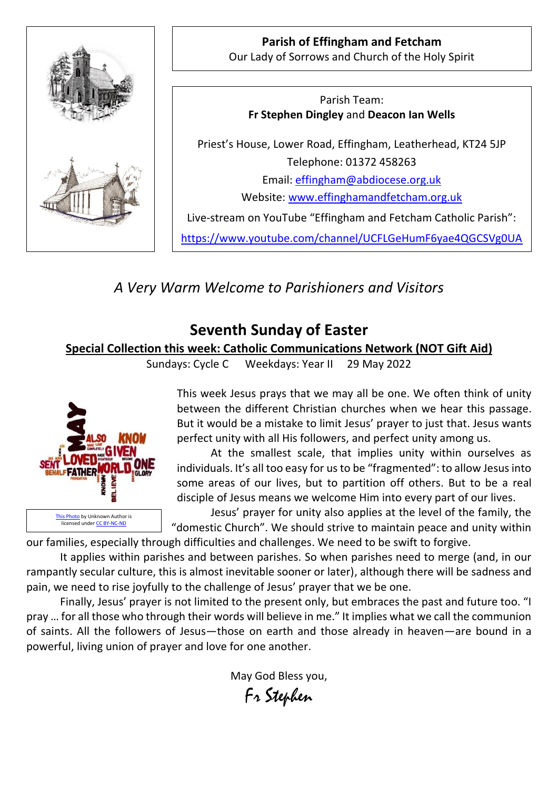

**Parish of Effingham and Fetcham** Our Lady of Sorrows and Church of the Holy Spirit

Parish Team: **Fr Stephen Dingley** and **Deacon Ian Wells**

Priest's House, Lower Road, Effingham, Leatherhead, KT24 5JP Telephone: 01372 458263 Email: [effingham@abdiocese.org.uk](mailto:effingham@abdiocese.org.uk) Website: [www.effinghamandfetcham.org.uk](http://www.effinghamandfetcham.org.uk/)

Live-stream on YouTube "Effingham and Fetcham Catholic Parish":

<https://www.youtube.com/channel/UCFLGeHumF6yae4QGCSVg0UA>

*A Very Warm Welcome to Parishioners and Visitors*

# **Seventh Sunday of Easter**

### **Special Collection this week: Catholic Communications Network (NOT Gift Aid)**

Sundays: Cycle C Weekdays: Year II 29 May 2022



This week Jesus prays that we may all be one. We often think of unity between the different Christian churches when we hear this passage. But it would be a mistake to limit Jesus' prayer to just that. Jesus wants perfect unity with all His followers, and perfect unity among us.

At the smallest scale, that implies unity within ourselves as individuals. It's all too easy for us to be "fragmented": to allow Jesus into some areas of our lives, but to partition off others. But to be a real disciple of Jesus means we welcome Him into every part of our lives.

Jesus' prayer for unity also applies at the level of the family, the "domestic Church". We should strive to maintain peace and unity within

our families, especially through difficulties and challenges. We need to be swift to forgive.

It applies within parishes and between parishes. So when parishes need to merge (and, in our rampantly secular culture, this is almost inevitable sooner or later), although there will be sadness and pain, we need to rise joyfully to the challenge of Jesus' prayer that we be one.

Finally, Jesus' prayer is not limited to the present only, but embraces the past and future too. "I pray … for all those who through their words will believe in me." It implies what we call the communion of saints. All the followers of Jesus—those on earth and those already in heaven—are bound in a powerful, living union of prayer and love for one another.

May God Bless you,

Fr Stephen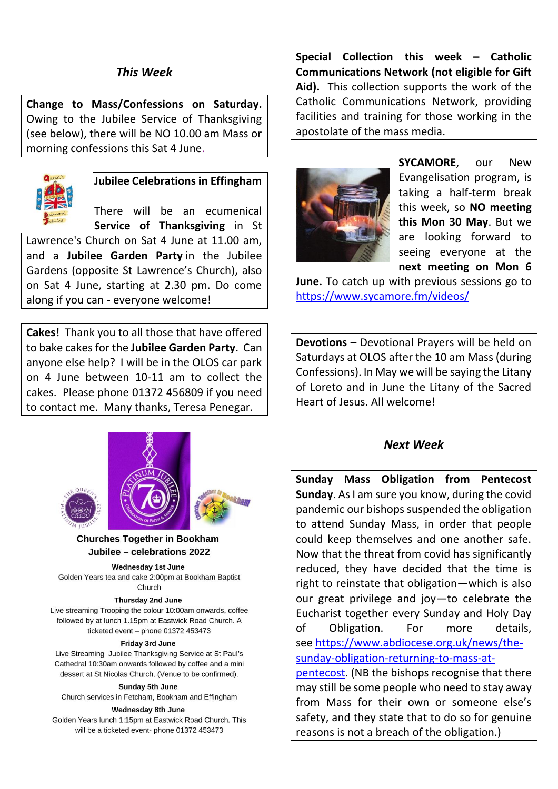### *This Week*

**Change to Mass/Confessions on Saturday.** Owing to the Jubilee Service of Thanksgiving (see below), there will be NO 10.00 am Mass or morning confessions this Sat 4 June.



# **Jubilee Celebrations in Effingham**

There will be an ecumenical **Service of Thanksgiving** in St

Lawrence's Church on Sat 4 June at 11.00 am, and a **Jubilee Garden Party** in the Jubilee Gardens (opposite St Lawrence's Church), also on Sat 4 June, starting at 2.30 pm. Do come along if you can - everyone welcome!

**Cakes!** Thank you to all those that have offered to bake cakes for the **Jubilee Garden Party**. Can anyone else help? I will be in the OLOS car park on 4 June between 10-11 am to collect the cakes. Please phone 01372 456809 if you need to contact me. Many thanks, Teresa Penegar.



### **Churches Together in Bookham** Jubilee - celebrations 2022

**Wednesday 1st June** Golden Years tea and cake 2:00pm at Bookham Baptist

#### Church **Thursday 2nd June**

Live streaming Trooping the colour 10:00am onwards, coffee followed by at lunch 1.15pm at Eastwick Road Church. A ticketed event - phone 01372 453473

#### Friday 3rd June

Live Streaming Jubilee Thanksgiving Service at St Paul's Cathedral 10:30am onwards followed by coffee and a mini dessert at St Nicolas Church. (Venue to be confirmed).

#### Sunday 5th June

Church services in Fetcham, Bookham and Effingham

#### **Wednesday 8th June**

Golden Years lunch 1:15pm at Eastwick Road Church. This will be a ticketed event- phone 01372 453473

**Special Collection this week – Catholic Communications Network (not eligible for Gift Aid).** This collection supports the work of the Catholic Communications Network, providing facilities and training for those working in the apostolate of the mass media.



**SYCAMORE**, our New Evangelisation program, is taking a half-term break this week, so **NO meeting this Mon 30 May**. But we are looking forward to seeing everyone at the **next meeting on Mon 6** 

**June.** To catch up with previous sessions go to <https://www.sycamore.fm/videos/>

**Devotions** – Devotional Prayers will be held on Saturdays at OLOS after the 10 am Mass (during Confessions). In May we will be saying the Litany of Loreto and in June the Litany of the Sacred Heart of Jesus. All welcome!

### *Next Week*

**Sunday Mass Obligation from Pentecost Sunday**. As I am sure you know, during the covid pandemic our bishops suspended the obligation to attend Sunday Mass, in order that people could keep themselves and one another safe. Now that the threat from covid has significantly reduced, they have decided that the time is right to reinstate that obligation—which is also our great privilege and joy—to celebrate the Eucharist together every Sunday and Holy Day of Obligation. For more details, see [https://www.abdiocese.org.uk/news/the](https://www.abdiocese.org.uk/news/the-sunday-obligation-returning-to-mass-at-pentecost)[sunday-obligation-returning-to-mass-at](https://www.abdiocese.org.uk/news/the-sunday-obligation-returning-to-mass-at-pentecost)[pentecost.](https://www.abdiocese.org.uk/news/the-sunday-obligation-returning-to-mass-at-pentecost) (NB the bishops recognise that there may still be some people who need to stay away from Mass for their own or someone else's

safety, and they state that to do so for genuine reasons is not a breach of the obligation.)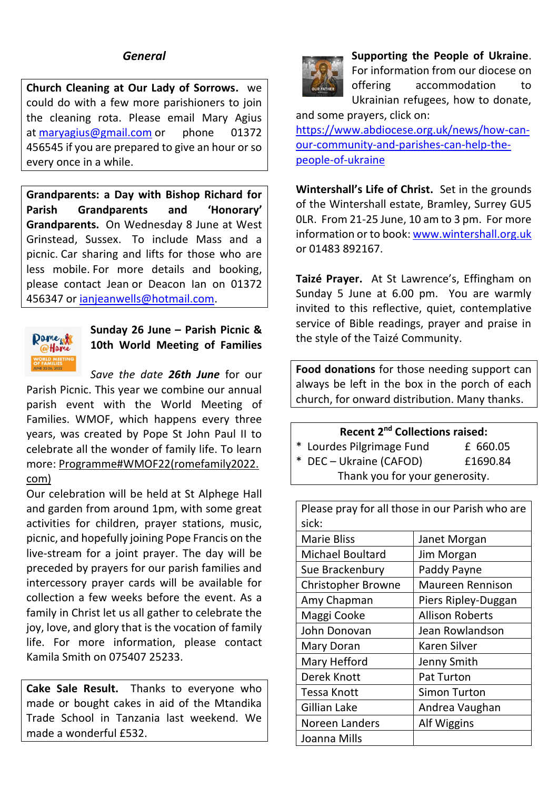### *General*

**Church Cleaning at Our Lady of Sorrows.** we could do with a few more parishioners to join the cleaning rota. Please email Mary Agius at [maryagius@gmail.com](mailto:maryagius@gmail.com) or phone 01372 456545 if you are prepared to give an hour or so every once in a while.

**Grandparents: a Day with Bishop Richard for Parish Grandparents and 'Honorary' Grandparents.** On Wednesday 8 June at West Grinstead, Sussex. To include Mass and a picnic. Car sharing and lifts for those who are less mobile. For more details and booking, please contact Jean or Deacon Ian on 01372 456347 or [ianjeanwells@hotmail.com.](mailto:ianjeanwells@hotmail.com)



**Sunday 26 June – Parish Picnic & 10th World Meeting of Families**

*Save the date 26th June* for our Parish Picnic. This year we combine our annual parish event with the World Meeting of Families. WMOF, which happens every three years, was created by Pope St John Paul II to celebrate all the wonder of family life. To learn more: [Programme#WMOF22\(romefamily2022.](https://eur02.safelinks.protection.outlook.com/?url=https%3A%2F%2Fwww.romefamily2022.com%2Fen%2Fprogramma%2F&data=05%7C01%7Ceffingham%40abdiocese.org.uk%7Ce94099a08c7c41ca56bb08da3379b12b%7C2bf5dbc217ef4efca1c9ab2dc4edefd0%7C0%7C0%7C637878894997229084%7CUnknown%7CTWFpbGZsb3d8eyJWIjoiMC4wLjAwMDAiLCJQIjoiV2luMzIiLCJBTiI6Ik1haWwiLCJXVCI6Mn0%3D%7C3000%7C%7C%7C&sdata=pdnaYpc%2B3LtusaM5sz6cSNaaDjG51WJ5v1t%2Bw%2FzuqW4%3D&reserved=0)

### [com\)](https://eur02.safelinks.protection.outlook.com/?url=https%3A%2F%2Fwww.romefamily2022.com%2Fen%2Fprogramma%2F&data=05%7C01%7Ceffingham%40abdiocese.org.uk%7Ce94099a08c7c41ca56bb08da3379b12b%7C2bf5dbc217ef4efca1c9ab2dc4edefd0%7C0%7C0%7C637878894997229084%7CUnknown%7CTWFpbGZsb3d8eyJWIjoiMC4wLjAwMDAiLCJQIjoiV2luMzIiLCJBTiI6Ik1haWwiLCJXVCI6Mn0%3D%7C3000%7C%7C%7C&sdata=pdnaYpc%2B3LtusaM5sz6cSNaaDjG51WJ5v1t%2Bw%2FzuqW4%3D&reserved=0)

Our celebration will be held at St Alphege Hall and garden from around 1pm, with some great activities for children, prayer stations, music, picnic, and hopefully joining Pope Francis on the live-stream for a joint prayer. The day will be preceded by prayers for our parish families and intercessory prayer cards will be available for collection a few weeks before the event. As a family in Christ let us all gather to celebrate the joy, love, and glory that is the vocation of family life. For more information, please contact Kamila Smith on 075407 25233.

**Cake Sale Result.** Thanks to everyone who made or bought cakes in aid of the Mtandika Trade School in Tanzania last weekend. We made a wonderful £532.



**Supporting the People of Ukraine**. For information from our diocese on offering accommodation to Ukrainian refugees, how to donate,

and some prayers, click on:

[https://www.abdiocese.org.uk/news/how-can](https://www.abdiocese.org.uk/news/how-can-our-community-and-parishes-can-help-the-people-of-ukraine)[our-community-and-parishes-can-help-the](https://www.abdiocese.org.uk/news/how-can-our-community-and-parishes-can-help-the-people-of-ukraine)[people-of-ukraine](https://www.abdiocese.org.uk/news/how-can-our-community-and-parishes-can-help-the-people-of-ukraine)

**Wintershall's Life of Christ.** Set in the grounds of the Wintershall estate, Bramley, Surrey GU5 0LR. From 21-25 June, 10 am to 3 pm. For more information or to book: [www.wintershall.org.uk](http://www.wintershall.org.uk/) or 01483 892167.

**Taizé Prayer.** At St Lawrence's, Effingham on Sunday 5 June at 6.00 pm. You are warmly invited to this reflective, quiet, contemplative service of Bible readings, prayer and praise in the style of the Taizé Community.

**Food donations** for those needing support can always be left in the box in the porch of each church, for onward distribution. Many thanks.

### **Recent 2nd Collections raised:**

| * Lourdes Pilgrimage Fund      | £ 660.05 |  |  |
|--------------------------------|----------|--|--|
| * DEC - Ukraine (CAFOD)        | £1690.84 |  |  |
| Thank you for your generosity. |          |  |  |

Please pray for all those in our Parish who are  $circ$ 

| <b>Marie Bliss</b>        | Janet Morgan           |  |
|---------------------------|------------------------|--|
| <b>Michael Boultard</b>   | Jim Morgan             |  |
| Sue Brackenbury           | Paddy Payne            |  |
| <b>Christopher Browne</b> | Maureen Rennison       |  |
| Amy Chapman               | Piers Ripley-Duggan    |  |
| Maggi Cooke               | <b>Allison Roberts</b> |  |
| John Donovan              | Jean Rowlandson        |  |
| Mary Doran                | <b>Karen Silver</b>    |  |
| Mary Hefford              | Jenny Smith            |  |
| Derek Knott               | Pat Turton             |  |
| Tessa Knott               | <b>Simon Turton</b>    |  |
| Gillian Lake              | Andrea Vaughan         |  |
| Noreen Landers            | Alf Wiggins            |  |
| Joanna Mills              |                        |  |
|                           |                        |  |